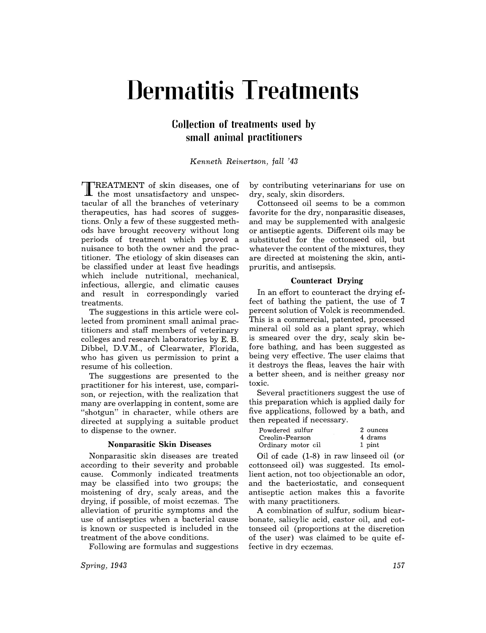# **Dermatitis Treatments**

# **Collection of treatments used by small animal practitioners**

*Kenneth Reinertson, fall* '43

TREATMENT of skin diseases, one of  $\mathbf{\mathbf{\perp}}$  the most unsatisfactory and unspectacular of all the branches of veterinary therapeutics, has had scores of suggestions. Only a few of these suggested methods have brought recovery without long periods of treatment which proved a nuisance to both the owner and the practitioner. The etiology of skin diseases can be classified under at least five headings which include nutritional, mechanical, infectious, allergic, and climatic causes and result in correspondingly varied treatments.

The suggestions in this article were collected from prominent small animal practitioners and staff members of veterinary colleges and research laboratories by E. B. Dibbel, D.V.M., of Clearwater, Florida, who has given us permission to print a resume of his collection.

The suggestions are presented to the practitioner for his interest, use, comparison, or rejection, with the realization that many are overlapping in content, some are "shotgun" in character, while others are directed at supplying a suitable product to dispense to the owner.

## Nonparasitic Skin Diseases

Nonparasitic skin diseases are treated according to their severity and probable cause. Commonly indicated treatments may be classified into two groups; the moistening of dry, scaly areas, and the drying, if possible, of moist eczemas. The alleviation of pruritic symptoms and the use of antiseptics when a bacterial cause is known or suspected is included in the treatment of the above conditions.

Following are formulas and suggestions

*Spring, 1943* 

by contributing veterinarians for use on dry, scaly, skin disorders.

Cottonseed oil seems to be a common favorite for the dry, nonparasitic diseases, and may be supplemented with analgesic or antiseptic agents. Different oils may be substituted for the cottonseed oil, but whatever the content of the mixtures, they are directed at moistening the skin, antipruritis, and antisepsis.

#### Counteract Drying

In an effort to counteract the drying effect of bathing the patient, the use of 7 percent solution of Volck is recommended. This is a commercial, patented, processed mineral oil sold as a plant spray, which is smeared over the dry, scaly skin before bathing, and has been suggested as being very effective. The user claims that it destroys the fleas, leaves the hair with a better sheen, and is neither greasy nor toxic.

Several practitioners suggest the use of this preparation which is applied daily for five applications, followed by a bath, and then repeated if necessary.

| Powdered sulfur    | 2 ounces |
|--------------------|----------|
| Creolin-Pearson    | 4 drams  |
| Ordinary motor cil | 1 pint   |

Oil of cade (1-8) in raw linseed oil (or cottonseed oil) was suggested. Its emollient action, not too objectionable an odor, and the bacteriostatic, and consequent antiseptic action makes this a favorite with many practitioners.

A combination of sulfur, sodium bicarbonate, salicylic acid, castor oil, and cottonseed oil (proportions at the discretion of the user) was claimed to be quite effective in dry eczemas.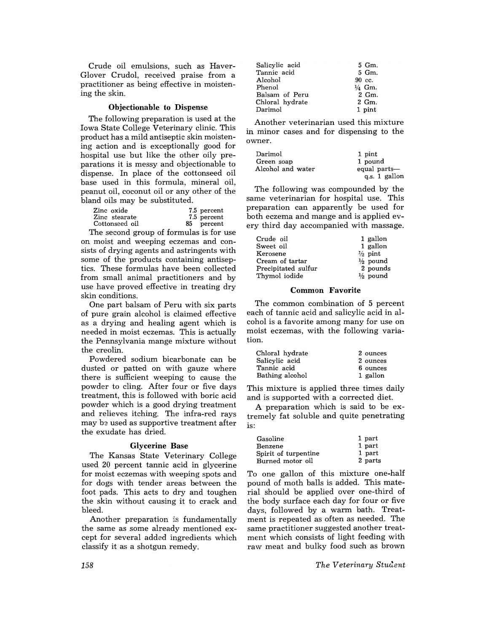Crude oil emulsions, such as Haver-Glover Crudol, received praise from a practitioner as being effective in moistening the skin.

## Objectionable to Dispense

The following preparation is used at the Iowa State College Veterinary clinic. This product has a mild antiseptic skin moistening action and is exceptionally good for hospital use but like the other oily preparations it is messy and objectionable to dispense. In place of the cottonseed oil base used in this formula, mineral oil, peanut oil, coconut oil or any other of the bland oils may be substituted.

| Zinc oxide     | 7.5 percent |
|----------------|-------------|
| Zinc stearate  | 7.5 percent |
| Cottonseed oil | 85 percent  |

The second group of formulas is for use on moist and weeping eczemas and consists of drying agents and astringents with some of the products containing antiseptics. These formulas have been collected from small animal practitioners and by use have proved effective in treating dry skin conditions.

One part balsam of Peru with six parts of pure grain alcohol is claimed effective as a drying and healing agent which is needed in moist eczemas. This is actually the Pennsylvania mange mixture without the creolin.

Powdered sodium bicarbonate can be dusted or patted on with gauze where there is sufficient weeping to cause the powder to cling. After four or five days treatment, this is followed with boric acid powder which is a good drying treatment and relieves itching. The infra-red rays may be used as supportive treatment after the exudate has dried.

# Glycerine Base

The Kansas State Veterinary College used 20 percent tannic acid in glycerine for moist eczemas with weeping spots and for dogs with tender areas between the foot pads. This acts to dry and toughen the skin without causing it to crack and bleed.

Another preparation is fundamentally the same as some already mentioned except for several added ingredients which classify it as a shotgun remedy.

| Salicylic acid  | 5 Gm.             |
|-----------------|-------------------|
| Tannic acid     | 5 Gm.             |
| Alcohol         | $90 \text{ cc.}$  |
| Phenol          | $\frac{1}{4}$ Gm. |
| Balsam of Peru  | 2 Gm.             |
| Chloral hydrate | 2 Gm.             |
| Darimol         | 1 pint            |

Another veterinarian used this mixture in minor cases and for dispensing to the owner.

| Darimol           | 1 pint        |
|-------------------|---------------|
| Green soap        | 1 pound       |
| Alcohol and water | equal parts-  |
|                   | q.s. 1 gallon |

The following was compounded by the same veterinarian for hospital use. This preparation can apparently be used for both eczema and mange and is applied every third day accompanied with massage.

| Crude oil           | 1 gallon            |
|---------------------|---------------------|
| Sweet oil           | 1 gallon            |
| Kerosene            | $\frac{1}{2}$ pint  |
| Cream of tartar     | $\frac{1}{2}$ pound |
| Precipitated sulfur | 2 pounds            |
| Thymol iodide       | $\frac{1}{2}$ pound |

#### Common Favorite

The common combination of 5 percent each of tannic acid and salicylic acid in alcohol is a favorite among many for use on moist eczemas, with the following variation.

| Chloral hydrate | 2 ounces |
|-----------------|----------|
| Salicylic acid  | 2 ounces |
| Tannic acid     | 6 ounces |
| Bathing alcohol | 1 gallon |

This mixture is applied three times daily and is supported with a corrected diet.

A preparation which is said to be extremely fat soluble and quite penetrating is:

| Gasoline             | 1 part  |
|----------------------|---------|
| Benzene              | 1 part  |
| Spirit of turpentine | 1 part  |
| Burned motor oil     | 2 parts |

To one gallon of this mixture one-half pound of moth balls is added. This material should be applied over one-third of the body surface each day for four or five days, followed by a warm bath. Treatment is repeated as often as needed. The same practitioner suggested another treatment which consists of light feeding with raw meat and bulky food such as brown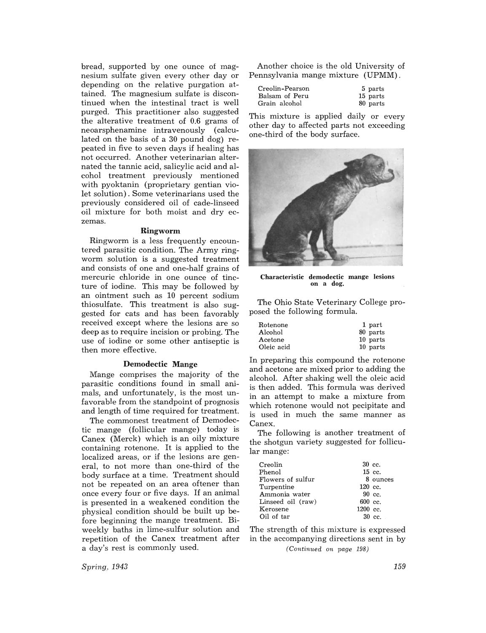bread, supported by one ounce of magnesium sulfate given every other day or depending on the relative purgation attained. The magnesium sulfate is discontinued when the intestinal tract is well purged. This practitioner also suggested the alterative treatment of 0.6 grams of neoarsphenamine intravenously (calculated on the basis of a 30 pound dog) repeated in five to seven days if healing has not occurred. Another veterinarian alternated the tannic acid, salicylic acid and alcohol treatment previously mentioned with pyoktanin (proprietary gentian violet solution). Some veterinarians used the previously considered oil of cade-linseed oil mixture for both moist and dry eczemas.

# **Ringworm**

Ringworm is a less frequently encountered parasitic condition. The Army ringworm solution is a suggested treatment and consists of one and one-half grains of mercuric chloride in one ounce of tincture of iodine. This may be followed by an ointment such as 10 percent sodium thiosulfate. This treatment is also suggested for cats and has been favorably received except where the lesions are so deep as to require incision or probing. The use of iodine or some other antiseptic is then more effective.

## **Demodectic** Mange

Mange comprises the majority of the parasitic conditions found in small animals, and unfortunately, is the most unfavorable from the standpoint of prognosis and length of time required for treatment.

The commonest treatment of Demodectic mange (follicular mange) today is Canex (Merck) which is an oily mixture containing rotenone. It is applied to the localized areas, or if the lesions are general, to not more than one-third of the body surface at a time. Treatment should not be repeated on an area oftener than once every four or five days. If an animal is presented in a weakened condition the physical condition should be built up before beginning the mange treatment. Biweekly baths in lime-sulfur solution and repetition of the Canex treatment after a day's rest is commonly used.

Another choice is the old University of Pennsylvania mange mixture (UPMM).

| Creolin-Pearson | 5 parts  |
|-----------------|----------|
| Balsam of Peru  | 15 parts |
| Grain alcohol   | 80 parts |

This mixture is applied daily or every other day to affected parts not exceeding one-third of the body surface.



Characteristic demodectic mange lesions on a dog.

The Ohio State Veterinary College proposed the following formula.

| Rotenone   | 1 part   |
|------------|----------|
| Alcohol    | 80 parts |
| Acetone    | 10 parts |
| Oleic acid | 10 parts |

In preparing this compound the rotenone and acetone are mixed prior to adding the alcohol. After shaking well the oleic acid is then added. This formula was derived in an attempt to make a mixture from which rotenone would not pecipitate and is used in much the same manner as Canex.

The following is another treatment of the shotgun variety suggested for follicular mange:

| Creolin           |                     | $30\,c$ .        |
|-------------------|---------------------|------------------|
| Phenol            |                     | $15$ cc.         |
| Flowers of sulfur |                     | 8 ounces         |
| Turpentine        | 120 cc.             |                  |
| Ammonia water     |                     | $90 \text{ cc}$  |
| Linseed oil (raw) | $600 \, \text{cc}$  |                  |
| Kerosene          | $1200 \, \text{cc}$ |                  |
| Oil of tar        |                     | $30 \text{ cc.}$ |
|                   |                     |                  |

The strength of this mixture is expressed in the accompanying directions sent in by

*(Continued on page 198)* 

*Spring. 1943*